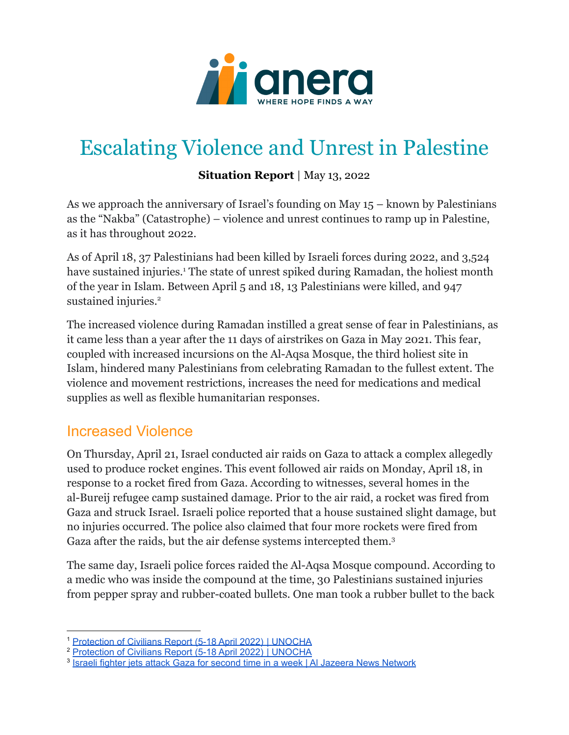

# Escalating Violence and Unrest in Palestine

#### **Situation Report** | May 13, 2022

As we approach the anniversary of Israel's founding on May 15 – known by Palestinians as the "Nakba" (Catastrophe) – violence and unrest continues to ramp up in Palestine, as it has throughout 2022.

As of April 18, 37 Palestinians had been killed by Israeli forces during 2022, and 3,524 have sustained injuries.<sup>1</sup> The state of unrest spiked during Ramadan, the holiest month of the year in Islam. Between April 5 and 18, 13 Palestinians were killed, and 947 sustained injuries.<sup>2</sup>

The increased violence during Ramadan instilled a great sense of fear in Palestinians, as it came less than a year after the 11 days of airstrikes on Gaza in May 2021. This fear, coupled with increased incursions on the Al-Aqsa Mosque, the third holiest site in Islam, hindered many Palestinians from celebrating Ramadan to the fullest extent. The violence and movement restrictions, increases the need for medications and medical supplies as well as flexible humanitarian responses.

#### Increased Violence

On Thursday, April 21, Israel conducted air raids on Gaza to attack a complex allegedly used to produce rocket engines. This event followed air raids on Monday, April 18, in response to a rocket fired from Gaza. According to witnesses, several homes in the al-Bureij refugee camp sustained damage. Prior to the air raid, a rocket was fired from Gaza and struck Israel. Israeli police reported that a house sustained slight damage, but no injuries occurred. The police also claimed that four more rockets were fired from Gaza after the raids, but the air defense systems intercepted them.<sup>3</sup>

The same day, Israeli police forces raided the Al-Aqsa Mosque compound. According to a medic who was inside the compound at the time, 30 Palestinians sustained injuries from pepper spray and rubber-coated bullets. One man took a rubber bullet to the back

<sup>1</sup> [Protection](https://www.ochaopt.org/poc/5-18-april-2022) of Civilians Report (5-18 April 2022) | UNOCHA

<sup>2</sup> [Protection](https://www.ochaopt.org/poc/5-18-april-2022) of Civilians Report (5-18 April 2022) | UNOCHA

<sup>&</sup>lt;sup>3</sup> Israeli fighter jets attack Gaza for second time in a week | Al Jazeera News [Network](https://www.aljazeera.com/news/2022/4/21/israel-palestine-conflict-israeli-warplanes-attack-gaza)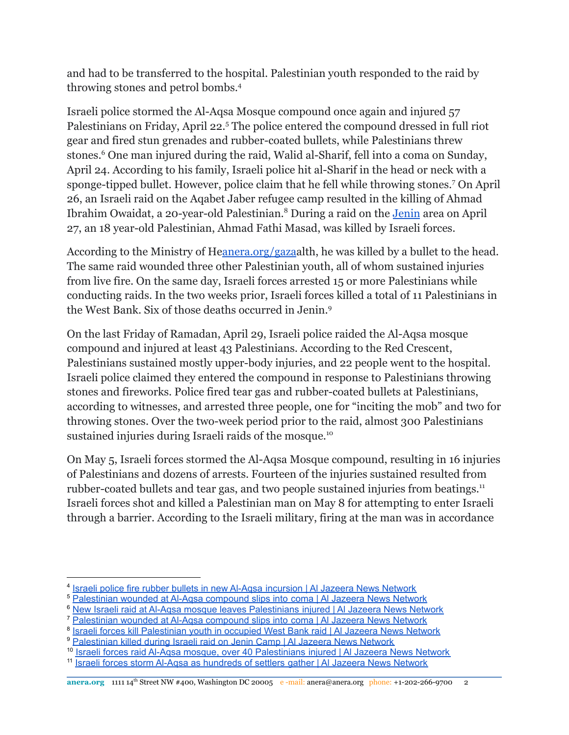and had to be transferred to the hospital. Palestinian youth responded to the raid by throwing stones and petrol bombs.<sup>4</sup>

Israeli police stormed the Al-Aqsa Mosque compound once again and injured 57 Palestinians on Friday, April 22.<sup>5</sup> The police entered the compound dressed in full riot gear and fired stun grenades and rubber-coated bullets, while Palestinians threw stones.<sup>6</sup> One man injured during the raid, Walid al-Sharif, fell into a coma on Sunday, April 24. According to his family, Israeli police hit al-Sharif in the head or neck with a sponge-tipped bullet. However, police claim that he fell while throwing stones.<sup>7</sup> On April 26, an Israeli raid on the Aqabet Jaber refugee camp resulted in the killing of Ahmad Ibrahim Owaidat, a 20-year-old Palestinian.<sup>8</sup> During a raid on the [Jenin](https://www.anera.org/stories/jenin-palestine-securing-productive-future/) area on April 27, an 18 year-old Palestinian, Ahmad Fathi Masad, was killed by Israeli forces.

According to the Ministry of H[eanera.org/gaza](http://anera.org/gaza)alth, he was killed by a bullet to the head. The same raid wounded three other Palestinian youth, all of whom sustained injuries from live fire. On the same day, Israeli forces arrested 15 or more Palestinians while conducting raids. In the two weeks prior, Israeli forces killed a total of 11 Palestinians in the West Bank. Six of those deaths occurred in Jenin.<sup>9</sup>

On the last Friday of Ramadan, April 29, Israeli police raided the Al-Aqsa mosque compound and injured at least 43 Palestinians. According to the Red Crescent, Palestinians sustained mostly upper-body injuries, and 22 people went to the hospital. Israeli police claimed they entered the compound in response to Palestinians throwing stones and fireworks. Police fired tear gas and rubber-coated bullets at Palestinians, according to witnesses, and arrested three people, one for "inciting the mob" and two for throwing stones. Over the two-week period prior to the raid, almost 300 Palestinians sustained injuries during Israeli raids of the mosque.<sup>10</sup>

On May 5, Israeli forces stormed the Al-Aqsa Mosque compound, resulting in 16 injuries of Palestinians and dozens of arrests. Fourteen of the injuries sustained resulted from rubber-coated bullets and tear gas, and two people sustained injuries from beatings.<sup>11</sup> Israeli forces shot and killed a Palestinian man on May 8 for attempting to enter Israeli through a barrier. According to the Israeli military, firing at the man was in accordance

<sup>7</sup> [Palestinian](https://www.aljazeera.com/news/2022/4/24/palestinian-wounded-at-aqsa-compound-in-critical-condition) wounded at Al-Aqsa compound slips into coma | Al Jazeera News Network

9 [Palestinian](https://www.aljazeera.com/news/2022/4/27/palestinian-killed-during-israeli-raid-jenin-camp) killed during Israeli raid on Jenin Camp | Al Jazeera News Network

<sup>10</sup> Israeli forces raid Al-Aqsa mosque, over 40 [Palestinians](https://www.aljazeera.com/news/2022/4/29/dozens-injured-in-israeli-raid-on-al-aqsa-mosque-compound) injured | Al Jazeera News Network

<sup>&</sup>lt;sup>4</sup> Israeli police fire rubber bullets in new Al-Aqsa [incursion](https://www.aljazeera.com/news/2022/4/21/israeli-police-fire-rubber-bullets-in-new-al-aqsa-incursion) | Al Jazeera News Network

<sup>5</sup> [Palestinian](https://www.aljazeera.com/news/2022/4/24/palestinian-wounded-at-aqsa-compound-in-critical-condition) wounded at Al-Aqsa compound slips into coma | Al Jazeera News Network

<sup>&</sup>lt;sup>6</sup> New Israeli raid at Al-Aqsa mosque leaves [Palestinians](https://www.aljazeera.com/news/2022/4/22/new-israeli-police-raid-al-aqsa-leaves-palestinians-injured) injured | Al Jazeera News Network

<sup>&</sup>lt;sup>8</sup> Israeli forces kill [Palestinian](https://www.aljazeera.com/news/2022/4/26/israeli-forces-kill-palestinian-youth-in-occupied-west-bank) youth in occupied West Bank raid | Al Jazeera News Network

<sup>&</sup>lt;sup>11</sup> Israeli forces storm Al-Aqsa as [hundreds](https://www.aljazeera.com/news/2022/5/5/israeli-forces-storm-al-aqsa-as-hundreds-of-settlers-gather) of settlers gather | Al Jazeera News Network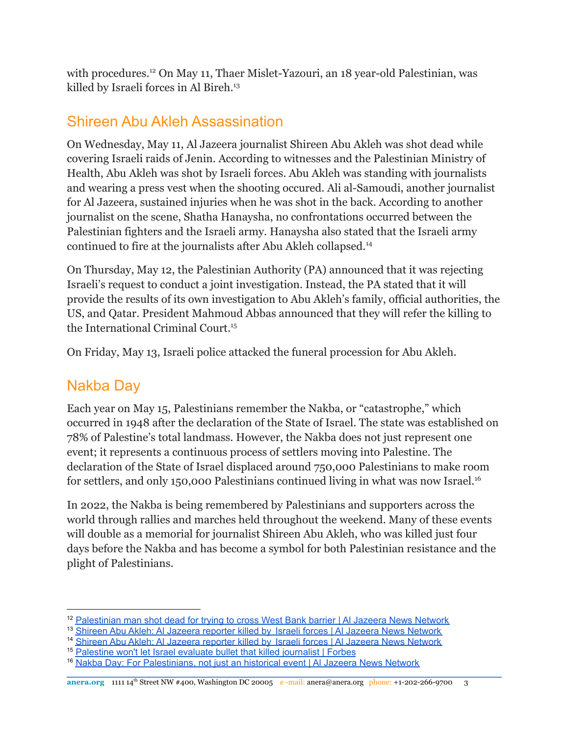with procedures.<sup>12</sup> On May 11, Thaer Mislet-Yazouri, an 18 year-old Palestinian, was killed by Israeli forces in Al Bireh.<sup>13</sup>

#### Shireen Abu Akleh Assassination

On Wednesday, May 11, Al Jazeera journalist Shireen Abu Akleh was shot dead while covering Israeli raids of Jenin. According to witnesses and the Palestinian Ministry of Health, Abu Akleh was shot by Israeli forces. Abu Akleh was standing with journalists and wearing a press vest when the shooting occured. Ali al-Samoudi, another journalist for Al Jazeera, sustained injuries when he was shot in the back. According to another journalist on the scene, Shatha Hanaysha, no confrontations occurred between the Palestinian fighters and the Israeli army. Hanaysha also stated that the Israeli army continued to fire at the journalists after Abu Akleh collapsed.<sup>14</sup>

On Thursday, May 12, the Palestinian Authority (PA) announced that it was rejecting Israeli's request to conduct a joint investigation. Instead, the PA stated that it will provide the results of its own investigation to Abu Akleh's family, official authorities, the US, and Qatar. President Mahmoud Abbas announced that they will refer the killing to the International Criminal Court.<sup>15</sup>

On Friday, May 13, Israeli police attacked the funeral procession for Abu Akleh.

### Nakba Day

Each year on May 15, Palestinians remember the Nakba, or "catastrophe," which occurred in 1948 after the declaration of the State of Israel. The state was established on 78% of Palestine's total landmass. However, the Nakba does not just represent one event; it represents a continuous process of settlers moving into Palestine. The declaration of the State of Israel displaced around 750,000 Palestinians to make room for settlers, and only 150,000 Palestinians continued living in what was now Israel.<sup>16</sup>

In 2022, the Nakba is being remembered by Palestinians and supporters across the world through rallies and marches held throughout the weekend. Many of these events will double as a memorial for journalist Shireen Abu Akleh, who was killed just four days before the Nakba and has become a symbol for both Palestinian resistance and the plight of Palestinians.

<sup>&</sup>lt;sup>12</sup> [Palestinian](https://www.aljazeera.com/news/2022/5/8/palestinian-who-tried-to-cross-west-bank-barrier-shot-dead-army) man shot dead for trying to cross West Bank barrier | Al Jazeera News Network

<sup>&</sup>lt;sup>13</sup> Shireen Abu Akleh: Al Jazeera reporter killed by Israeli forces | Al Jazeera News [Network](https://www.aljazeera.com/news/2022/5/11/shireen-abu-akleh-israeli-forces-kill-al-jazeera-journalist)

<sup>&</sup>lt;sup>14</sup> Shireen Abu Akleh: Al Jazeera reporter killed by Israeli forces | Al Jazeera News [Network](https://www.aljazeera.com/news/2022/5/11/shireen-abu-akleh-israeli-forces-kill-al-jazeera-journalist)

<sup>&</sup>lt;sup>15</sup> [Palestine](https://www.forbes.com/sites/madelinehalpert/2022/05/12/palestine-wont-let-israel-evaluate-bullet-that-killed-journalist-as-international-leaders-condemn-killing/?sh=16c9d36b7687) won't let Israel evaluate bullet that killed journalist | Forbes

<sup>&</sup>lt;sup>16</sup> Nakba Day: For [Palestinians,](https://www.aljazeera.com/news/2020/5/15/nakba-day-for-palestinians-not-just-an-historical-event) not just an historical event | Al Jazeera News Network